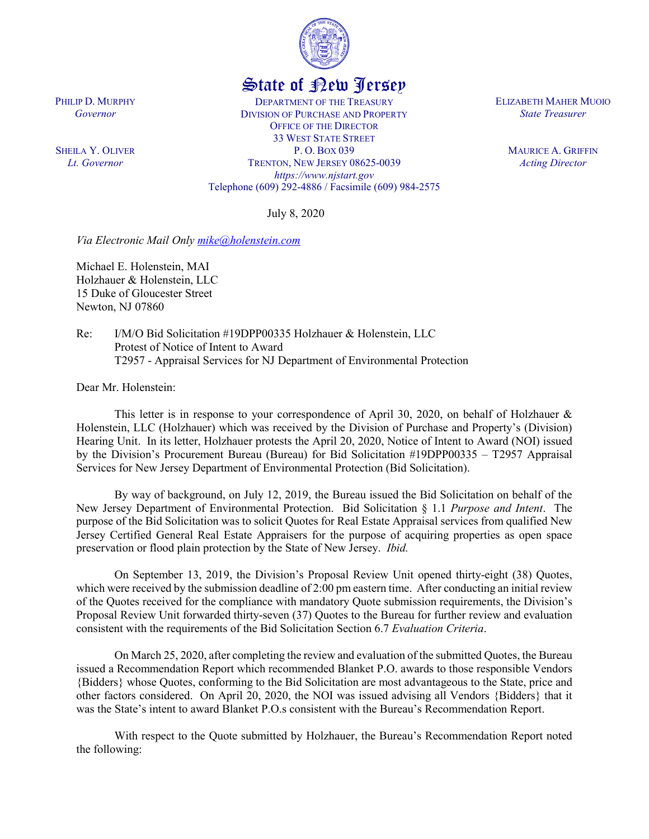

## State of New Jersey

DEPARTMENT OF THE TREASURY DIVISION OF PURCHASE AND PROPERTY OFFICE OF THE DIRECTOR 33 WEST STATE STREET P. O. BOX 039 TRENTON, NEW JERSEY 08625-0039 *https://www.njstart.gov* Telephone (609) 292-4886 / Facsimile (609) 984-2575

July 8, 2020

*Via Electronic Mail Only [mike@holenstein.com](mailto:mike@holenstein.com)*

Michael E. Holenstein, MAI Holzhauer & Holenstein, LLC 15 Duke of Gloucester Street Newton, NJ 07860

Re: I/M/O Bid Solicitation #19DPP00335 Holzhauer & Holenstein, LLC Protest of Notice of Intent to Award T2957 - Appraisal Services for NJ Department of Environmental Protection

Dear Mr. Holenstein:

PHILIP D. MURPHY *Governor*

SHEILA Y. OLIVER *Lt. Governor*

> This letter is in response to your correspondence of April 30, 2020, on behalf of Holzhauer  $\&$ Holenstein, LLC (Holzhauer) which was received by the Division of Purchase and Property's (Division) Hearing Unit. In its letter, Holzhauer protests the April 20, 2020, Notice of Intent to Award (NOI) issued by the Division's Procurement Bureau (Bureau) for Bid Solicitation #19DPP00335 – T2957 Appraisal Services for New Jersey Department of Environmental Protection (Bid Solicitation).

> By way of background, on July 12, 2019, the Bureau issued the Bid Solicitation on behalf of the New Jersey Department of Environmental Protection. Bid Solicitation § 1.1 *Purpose and Intent*. The purpose of the Bid Solicitation was to solicit Quotes for Real Estate Appraisal services from qualified New Jersey Certified General Real Estate Appraisers for the purpose of acquiring properties as open space preservation or flood plain protection by the State of New Jersey. *Ibid.*

> On September 13, 2019, the Division's Proposal Review Unit opened thirty-eight (38) Quotes, which were received by the submission deadline of 2:00 pm eastern time. After conducting an initial review of the Quotes received for the compliance with mandatory Quote submission requirements, the Division's Proposal Review Unit forwarded thirty-seven (37) Quotes to the Bureau for further review and evaluation consistent with the requirements of the Bid Solicitation Section 6.7 *Evaluation Criteria*.

> On March 25, 2020, after completing the review and evaluation of the submitted Quotes, the Bureau issued a Recommendation Report which recommended Blanket P.O. awards to those responsible Vendors {Bidders} whose Quotes, conforming to the Bid Solicitation are most advantageous to the State, price and other factors considered. On April 20, 2020, the NOI was issued advising all Vendors {Bidders} that it was the State's intent to award Blanket P.O.s consistent with the Bureau's Recommendation Report.

> With respect to the Quote submitted by Holzhauer, the Bureau's Recommendation Report noted the following:

ELIZABETH MAHER MUOIO *State Treasurer*

> MAURICE A. GRIFFIN *Acting Director*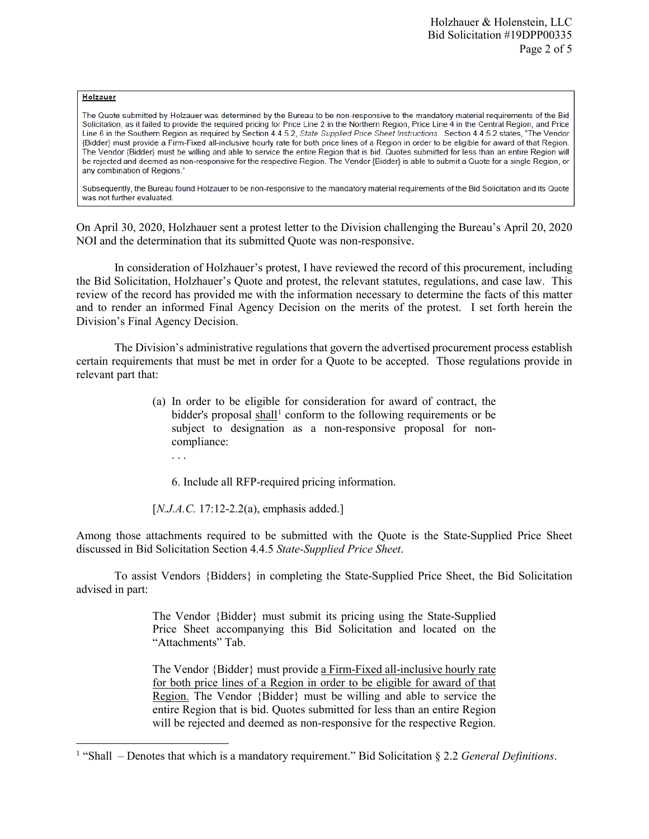## **Holzauer**

l

The Quote submitted by Holzauer was determined by the Bureau to be non-responsive to the mandatory material requirements of the Bid Solicitation, as it failed to provide the required pricing for Price Line 2 in the Northern Region, Price Line 4 in the Central Region, and Price Line 6 in the Southern Region as required by Section 4.4.5.2, State Supplied Price Sheet Instructions. Section 4.4.5.2 states, "The Vendor {Bidder} must provide a Firm-Fixed all-inclusive hourly rate for both price lines of a Region in order to be eligible for award of that Region. The Vendor (Bidder) must be willing and able to service the entire Region that is bid. Quotes submitted for less than an entire Region will be rejected and deemed as non-responsive for the respective Region. The Vendor {Bidder} is able to submit a Quote for a single Region, or any combination of Regions."

Subsequently, the Bureau found Holzauer to be non-responsive to the mandatory material requirements of the Bid Solicitation and its Quote was not further evaluated.

On April 30, 2020, Holzhauer sent a protest letter to the Division challenging the Bureau's April 20, 2020 NOI and the determination that its submitted Quote was non-responsive.

In consideration of Holzhauer's protest, I have reviewed the record of this procurement, including the Bid Solicitation, Holzhauer's Quote and protest, the relevant statutes, regulations, and case law. This review of the record has provided me with the information necessary to determine the facts of this matter and to render an informed Final Agency Decision on the merits of the protest. I set forth herein the Division's Final Agency Decision.

The Division's administrative regulations that govern the advertised procurement process establish certain requirements that must be met in order for a Quote to be accepted. Those regulations provide in relevant part that:

- (a) In order to be eligible for consideration for award of contract, the bidder's proposal  $\frac{\text{shall}}{\text{!}}$  conform to the following requirements or be subject to designation as a non-responsive proposal for noncompliance:
	- . . .

6. Include all RFP-required pricing information.

[*N.J.A.C.* 17:12-2.2(a), emphasis added.]

Among those attachments required to be submitted with the Quote is the State-Supplied Price Sheet discussed in Bid Solicitation Section 4.4.5 *State-Supplied Price Sheet*.

To assist Vendors {Bidders} in completing the State-Supplied Price Sheet, the Bid Solicitation advised in part:

> The Vendor {Bidder} must submit its pricing using the State-Supplied Price Sheet accompanying this Bid Solicitation and located on the "Attachments" Tab.

> The Vendor {Bidder} must provide a Firm-Fixed all-inclusive hourly rate for both price lines of a Region in order to be eligible for award of that Region. The Vendor {Bidder} must be willing and able to service the entire Region that is bid. Quotes submitted for less than an entire Region will be rejected and deemed as non-responsive for the respective Region.

<span id="page-1-0"></span><sup>1</sup> "Shall – Denotes that which is a mandatory requirement." Bid Solicitation § 2.2 *General Definitions*.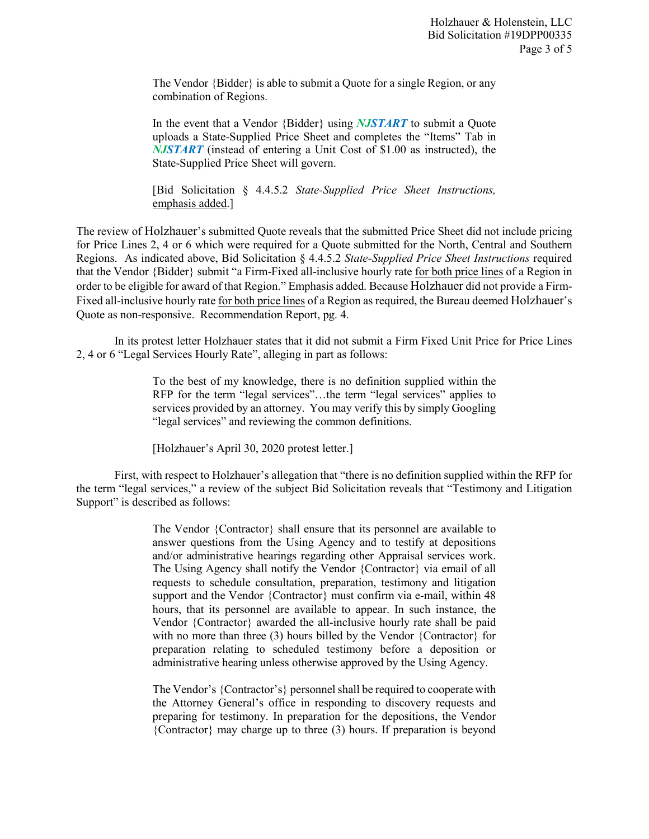The Vendor {Bidder} is able to submit a Quote for a single Region, or any combination of Regions.

In the event that a Vendor {Bidder} using *NJSTART* to submit a Quote uploads a State-Supplied Price Sheet and completes the "Items" Tab in *NJSTART* (instead of entering a Unit Cost of \$1.00 as instructed), the State-Supplied Price Sheet will govern.

[Bid Solicitation § 4.4.5.2 *State-Supplied Price Sheet Instructions,* emphasis added.]

The review of Holzhauer's submitted Quote reveals that the submitted Price Sheet did not include pricing for Price Lines 2, 4 or 6 which were required for a Quote submitted for the North, Central and Southern Regions. As indicated above, Bid Solicitation § 4.4.5.2 *State-Supplied Price Sheet Instructions* required that the Vendor {Bidder} submit "a Firm-Fixed all-inclusive hourly rate for both price lines of a Region in order to be eligible for award of that Region." Emphasis added. Because Holzhauer did not provide a Firm-Fixed all-inclusive hourly rate for both price lines of a Region as required, the Bureau deemed Holzhauer's Quote as non-responsive. Recommendation Report, pg. 4.

In its protest letter Holzhauer states that it did not submit a Firm Fixed Unit Price for Price Lines 2, 4 or 6 "Legal Services Hourly Rate", alleging in part as follows:

> To the best of my knowledge, there is no definition supplied within the RFP for the term "legal services"…the term "legal services" applies to services provided by an attorney. You may verify this by simply Googling "legal services" and reviewing the common definitions.

[Holzhauer's April 30, 2020 protest letter.]

First, with respect to Holzhauer's allegation that "there is no definition supplied within the RFP for the term "legal services," a review of the subject Bid Solicitation reveals that "Testimony and Litigation Support" is described as follows:

> The Vendor {Contractor} shall ensure that its personnel are available to answer questions from the Using Agency and to testify at depositions and/or administrative hearings regarding other Appraisal services work. The Using Agency shall notify the Vendor {Contractor} via email of all requests to schedule consultation, preparation, testimony and litigation support and the Vendor {Contractor} must confirm via e-mail, within 48 hours, that its personnel are available to appear. In such instance, the Vendor {Contractor} awarded the all-inclusive hourly rate shall be paid with no more than three (3) hours billed by the Vendor {Contractor} for preparation relating to scheduled testimony before a deposition or administrative hearing unless otherwise approved by the Using Agency.

> The Vendor's {Contractor's} personnel shall be required to cooperate with the Attorney General's office in responding to discovery requests and preparing for testimony. In preparation for the depositions, the Vendor {Contractor} may charge up to three (3) hours. If preparation is beyond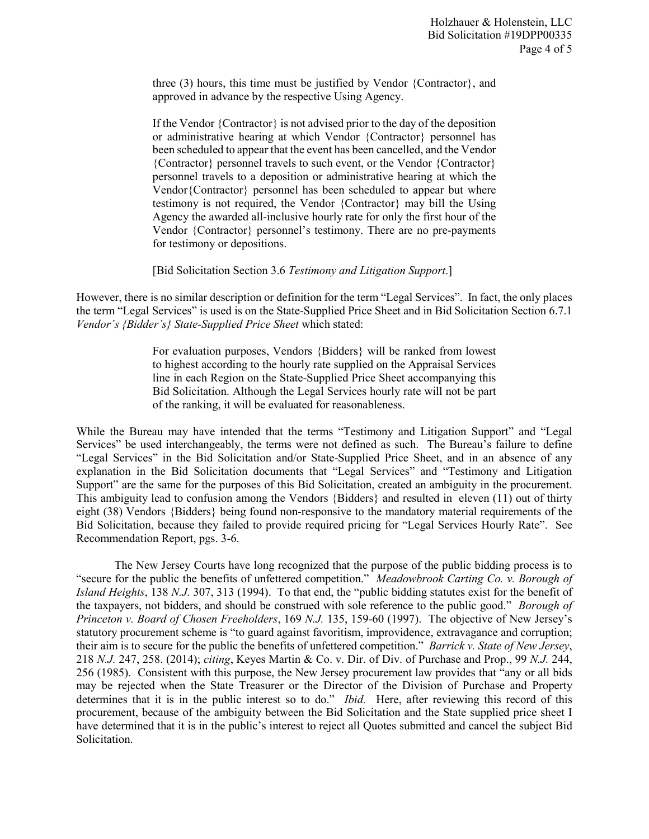three (3) hours, this time must be justified by Vendor {Contractor}, and approved in advance by the respective Using Agency.

If the Vendor {Contractor} is not advised prior to the day of the deposition or administrative hearing at which Vendor {Contractor} personnel has been scheduled to appear that the event has been cancelled, and the Vendor {Contractor} personnel travels to such event, or the Vendor {Contractor} personnel travels to a deposition or administrative hearing at which the Vendor{Contractor} personnel has been scheduled to appear but where testimony is not required, the Vendor {Contractor} may bill the Using Agency the awarded all-inclusive hourly rate for only the first hour of the Vendor {Contractor} personnel's testimony. There are no pre-payments for testimony or depositions.

[Bid Solicitation Section 3.6 *Testimony and Litigation Support*.]

However, there is no similar description or definition for the term "Legal Services". In fact, the only places the term "Legal Services" is used is on the State-Supplied Price Sheet and in Bid Solicitation Section 6.7.1 *Vendor's {Bidder's} State-Supplied Price Sheet* which stated:

> For evaluation purposes, Vendors {Bidders} will be ranked from lowest to highest according to the hourly rate supplied on the Appraisal Services line in each Region on the State-Supplied Price Sheet accompanying this Bid Solicitation. Although the Legal Services hourly rate will not be part of the ranking, it will be evaluated for reasonableness.

While the Bureau may have intended that the terms "Testimony and Litigation Support" and "Legal Services" be used interchangeably, the terms were not defined as such. The Bureau's failure to define "Legal Services" in the Bid Solicitation and/or State-Supplied Price Sheet, and in an absence of any explanation in the Bid Solicitation documents that "Legal Services" and "Testimony and Litigation Support" are the same for the purposes of this Bid Solicitation, created an ambiguity in the procurement. This ambiguity lead to confusion among the Vendors {Bidders} and resulted in eleven (11) out of thirty eight (38) Vendors {Bidders} being found non-responsive to the mandatory material requirements of the Bid Solicitation, because they failed to provide required pricing for "Legal Services Hourly Rate". See Recommendation Report, pgs. 3-6.

The New Jersey Courts have long recognized that the purpose of the public bidding process is to "secure for the public the benefits of unfettered competition." *Meadowbrook Carting Co. v. Borough of Island Heights*, 138 *N.J.* 307, 313 (1994). To that end, the "public bidding statutes exist for the benefit of the taxpayers, not bidders, and should be construed with sole reference to the public good." *Borough of Princeton v. Board of Chosen Freeholders*, 169 *N.J.* 135, 159-60 (1997). The objective of New Jersey's statutory procurement scheme is "to guard against favoritism, improvidence, extravagance and corruption; their aim is to secure for the public the benefits of unfettered competition." *Barrick v. State of New Jersey*, 218 *N.J.* 247, 258. (2014); *citing*, Keyes Martin & Co. v. Dir. of Div. of Purchase and Prop., 99 *N.J.* 244, 256 (1985). Consistent with this purpose, the New Jersey procurement law provides that "any or all bids may be rejected when the State Treasurer or the Director of the Division of Purchase and Property determines that it is in the public interest so to do." *Ibid.* Here, after reviewing this record of this procurement, because of the ambiguity between the Bid Solicitation and the State supplied price sheet I have determined that it is in the public's interest to reject all Quotes submitted and cancel the subject Bid Solicitation.